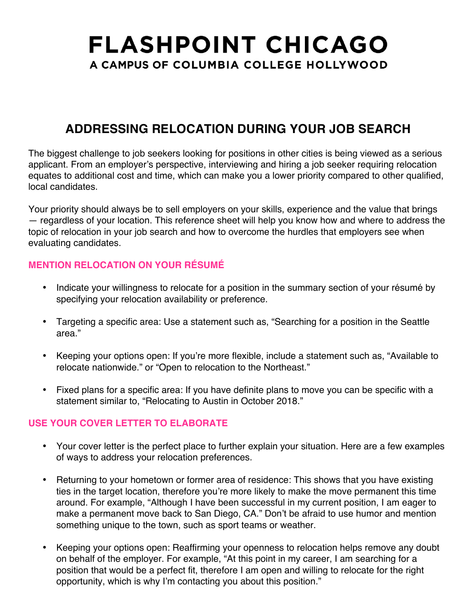# **FLASHPOINT CHICAGO** A CAMPUS OF COLUMBIA COLLEGE HOLLYWOOD

### **ADDRESSING RELOCATION DURING YOUR JOB SEARCH**

The biggest challenge to job seekers looking for positions in other cities is being viewed as a serious applicant. From an employer's perspective, interviewing and hiring a job seeker requiring relocation equates to additional cost and time, which can make you a lower priority compared to other qualified, local candidates.

Your priority should always be to sell employers on your skills, experience and the value that brings — regardless of your location. This reference sheet will help you know how and where to address the topic of relocation in your job search and how to overcome the hurdles that employers see when evaluating candidates.

### **MENTION RELOCATION ON YOUR RÉSUMÉ**

- Indicate your willingness to relocate for a position in the summary section of your résumé by specifying your relocation availability or preference.
- Targeting a specific area: Use a statement such as, "Searching for a position in the Seattle area."
- Keeping your options open: If you're more flexible, include a statement such as, "Available to relocate nationwide." or "Open to relocation to the Northeast."
- Fixed plans for a specific area: If you have definite plans to move you can be specific with a statement similar to, "Relocating to Austin in October 2018."

#### **USE YOUR COVER LETTER TO ELABORATE**

- Your cover letter is the perfect place to further explain your situation. Here are a few examples of ways to address your relocation preferences.
- Returning to your hometown or former area of residence: This shows that you have existing ties in the target location, therefore you're more likely to make the move permanent this time around. For example, "Although I have been successful in my current position, I am eager to make a permanent move back to San Diego, CA." Don't be afraid to use humor and mention something unique to the town, such as sport teams or weather.
- Keeping your options open: Reaffirming your openness to relocation helps remove any doubt on behalf of the employer. For example, "At this point in my career, I am searching for a position that would be a perfect fit, therefore I am open and willing to relocate for the right opportunity, which is why I'm contacting you about this position."